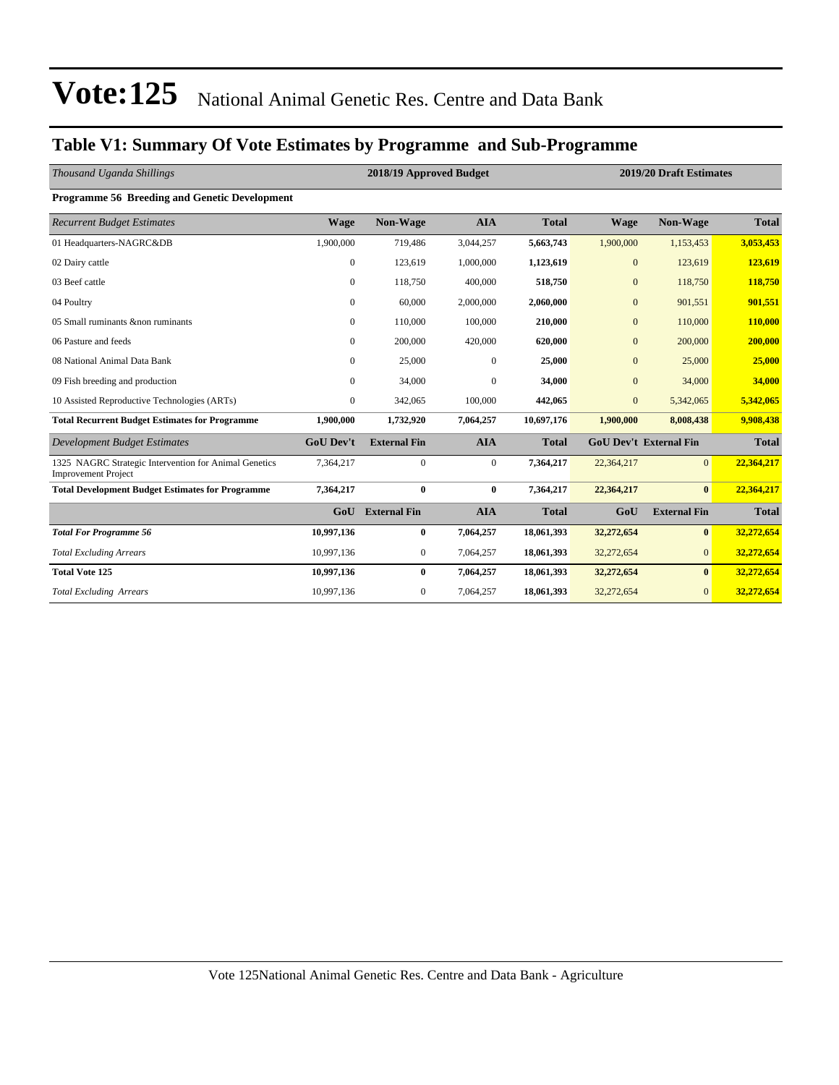#### **Table V1: Summary Of Vote Estimates by Programme and Sub-Programme**

| Thousand Uganda Shillings                                                           |                  | 2018/19 Approved Budget |                  | 2019/20 Draft Estimates |                  |                               |              |
|-------------------------------------------------------------------------------------|------------------|-------------------------|------------------|-------------------------|------------------|-------------------------------|--------------|
| Programme 56 Breeding and Genetic Development                                       |                  |                         |                  |                         |                  |                               |              |
| <b>Recurrent Budget Estimates</b>                                                   | <b>Wage</b>      | Non-Wage                | <b>AIA</b>       | <b>Total</b>            | <b>Wage</b>      | <b>Non-Wage</b>               | <b>Total</b> |
| 01 Headquarters-NAGRC&DB                                                            | 1,900,000        | 719,486                 | 3,044,257        | 5,663,743               | 1,900,000        | 1,153,453                     | 3,053,453    |
| 02 Dairy cattle                                                                     | $\mathbf{0}$     | 123,619                 | 1,000,000        | 1,123,619               | $\overline{0}$   | 123,619                       | 123,619      |
| 03 Beef cattle                                                                      | $\overline{0}$   | 118,750                 | 400,000          | 518,750                 | $\overline{0}$   | 118,750                       | 118,750      |
| 04 Poultry                                                                          | $\overline{0}$   | 60,000                  | 2,000,000        | 2,060,000               | $\overline{0}$   | 901,551                       | 901,551      |
| 05 Small ruminants & non ruminants                                                  | $\overline{0}$   | 110,000                 | 100,000          | 210,000                 | $\overline{0}$   | 110,000                       | 110,000      |
| 06 Pasture and feeds                                                                | $\mathbf{0}$     | 200,000                 | 420,000          | 620,000                 | $\overline{0}$   | 200,000                       | 200,000      |
| 08 National Animal Data Bank                                                        | $\overline{0}$   | 25,000                  | $\boldsymbol{0}$ | 25,000                  | $\boldsymbol{0}$ | 25,000                        | 25,000       |
| 09 Fish breeding and production                                                     | $\Omega$         | 34,000                  | $\mathbf{0}$     | 34,000                  | $\overline{0}$   | 34,000                        | 34,000       |
| 10 Assisted Reproductive Technologies (ARTs)                                        | $\mathbf{0}$     | 342,065                 | 100,000          | 442,065                 | $\overline{0}$   | 5,342,065                     | 5,342,065    |
| <b>Total Recurrent Budget Estimates for Programme</b>                               | 1,900,000        | 1,732,920               | 7,064,257        | 10,697,176              | 1,900,000        | 8,008,438                     | 9,908,438    |
| <b>Development Budget Estimates</b>                                                 | <b>GoU Dev't</b> | <b>External Fin</b>     | <b>AIA</b>       | <b>Total</b>            |                  | <b>GoU Dev't External Fin</b> | <b>Total</b> |
| 1325 NAGRC Strategic Intervention for Animal Genetics<br><b>Improvement Project</b> | 7,364,217        | $\mathbf{0}$            | $\mathbf{0}$     | 7,364,217               | 22,364,217       | $\Omega$                      | 22,364,217   |
| <b>Total Development Budget Estimates for Programme</b>                             | 7,364,217        | $\bf{0}$                | $\bf{0}$         | 7,364,217               | 22,364,217       | $\bf{0}$                      | 22,364,217   |
|                                                                                     | GoU              | <b>External Fin</b>     | <b>AIA</b>       | <b>Total</b>            | GoU              | <b>External Fin</b>           | <b>Total</b> |
| <b>Total For Programme 56</b>                                                       | 10,997,136       | $\bf{0}$                | 7,064,257        | 18,061,393              | 32,272,654       | $\bf{0}$                      | 32,272,654   |
| <b>Total Excluding Arrears</b>                                                      | 10,997,136       | $\mathbf{0}$            | 7,064,257        | 18,061,393              | 32,272,654       | $\overline{0}$                | 32,272,654   |
| <b>Total Vote 125</b>                                                               | 10,997,136       | $\bf{0}$                | 7,064,257        | 18,061,393              | 32,272,654       | $\mathbf{0}$                  | 32,272,654   |
| <b>Total Excluding Arrears</b>                                                      | 10,997,136       | 0                       | 7,064,257        | 18,061,393              | 32,272,654       | $\mathbf{0}$                  | 32,272,654   |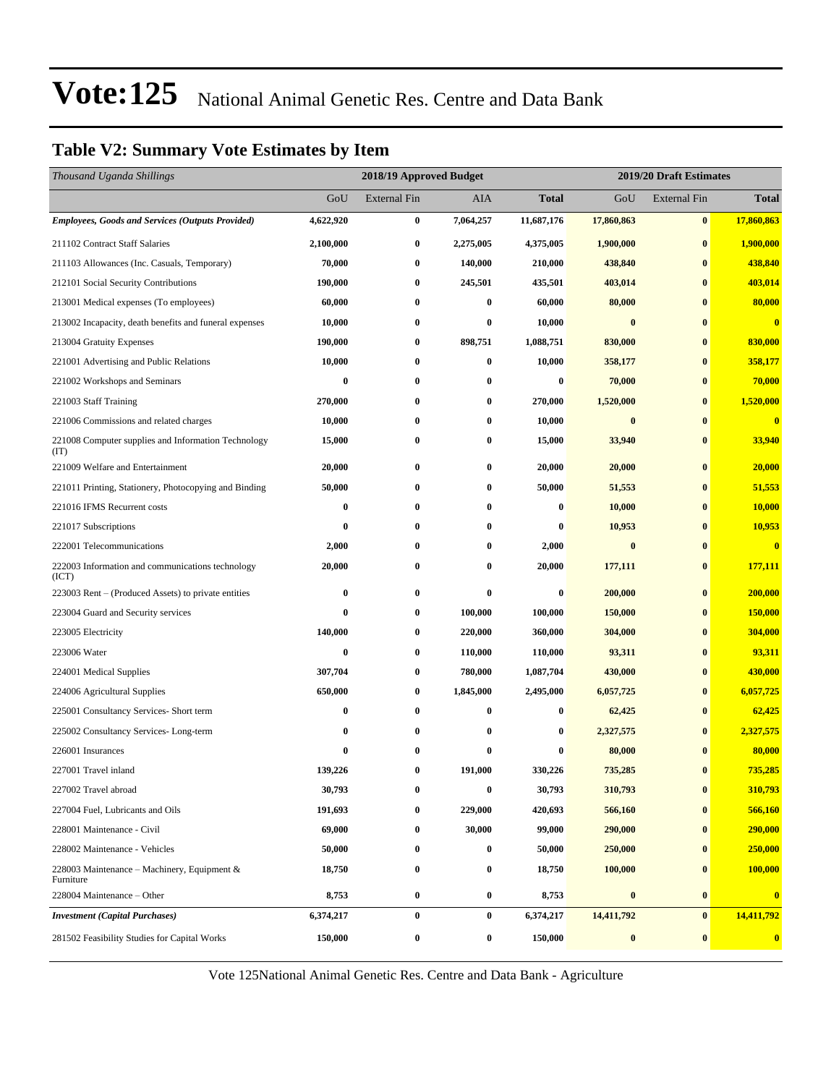#### **Table V2: Summary Vote Estimates by Item**

| Thousand Uganda Shillings                                   |           | 2019/20 Draft Estimates<br>2018/19 Approved Budget |           |                  |            |                     |                         |
|-------------------------------------------------------------|-----------|----------------------------------------------------|-----------|------------------|------------|---------------------|-------------------------|
|                                                             | GoU       | <b>External Fin</b>                                | AIA       | <b>Total</b>     | GoU        | <b>External Fin</b> | <b>Total</b>            |
| <b>Employees, Goods and Services (Outputs Provided)</b>     | 4,622,920 | $\bf{0}$                                           | 7,064,257 | 11,687,176       | 17,860,863 | $\bf{0}$            | 17,860,863              |
| 211102 Contract Staff Salaries                              | 2,100,000 | $\bf{0}$                                           | 2,275,005 | 4,375,005        | 1,900,000  | $\bf{0}$            | 1,900,000               |
| 211103 Allowances (Inc. Casuals, Temporary)                 | 70,000    | $\bf{0}$                                           | 140,000   | 210,000          | 438,840    | $\bf{0}$            | 438,840                 |
| 212101 Social Security Contributions                        | 190,000   | $\bf{0}$                                           | 245,501   | 435,501          | 403,014    | $\bf{0}$            | 403,014                 |
| 213001 Medical expenses (To employees)                      | 60,000    | $\bf{0}$                                           | $\bf{0}$  | 60,000           | 80,000     | $\bf{0}$            | 80,000                  |
| 213002 Incapacity, death benefits and funeral expenses      | 10,000    | $\bf{0}$                                           | 0         | 10,000           | $\bf{0}$   | $\bf{0}$            | $\overline{\mathbf{0}}$ |
| 213004 Gratuity Expenses                                    | 190,000   | $\bf{0}$                                           | 898,751   | 1,088,751        | 830,000    | $\bf{0}$            | 830,000                 |
| 221001 Advertising and Public Relations                     | 10,000    | $\bf{0}$                                           | $\bf{0}$  | 10,000           | 358,177    | $\bf{0}$            | 358,177                 |
| 221002 Workshops and Seminars                               | 0         | $\bf{0}$                                           | 0         | 0                | 70,000     | $\bf{0}$            | 70,000                  |
| 221003 Staff Training                                       | 270,000   | $\bf{0}$                                           | $\bf{0}$  | 270,000          | 1,520,000  | $\bf{0}$            | 1,520,000               |
| 221006 Commissions and related charges                      | 10,000    | $\bf{0}$                                           | $\bf{0}$  | 10,000           | $\bf{0}$   | $\bf{0}$            | $\overline{\mathbf{0}}$ |
| 221008 Computer supplies and Information Technology<br>(TT) | 15,000    | $\bf{0}$                                           | 0         | 15,000           | 33,940     | $\bf{0}$            | 33,940                  |
| 221009 Welfare and Entertainment                            | 20,000    | $\bf{0}$                                           | $\bf{0}$  | 20,000           | 20,000     | $\bf{0}$            | 20,000                  |
| 221011 Printing, Stationery, Photocopying and Binding       | 50,000    | $\bf{0}$                                           | $\bf{0}$  | 50,000           | 51,553     | $\bf{0}$            | 51,553                  |
| 221016 IFMS Recurrent costs                                 | 0         | $\bf{0}$                                           | 0         | 0                | 10,000     | $\bf{0}$            | <b>10,000</b>           |
| 221017 Subscriptions                                        | 0         | $\bf{0}$                                           | $\bf{0}$  | 0                | 10,953     | $\bf{0}$            | 10,953                  |
| 222001 Telecommunications                                   | 2,000     | $\bf{0}$                                           | $\bf{0}$  | 2,000            | $\bf{0}$   | $\bf{0}$            | $\overline{\mathbf{0}}$ |
| 222003 Information and communications technology<br>(ICT)   | 20,000    | $\bf{0}$                                           | $\bf{0}$  | 20,000           | 177,111    | $\bf{0}$            | 177,111                 |
| 223003 Rent – (Produced Assets) to private entities         | 0         | $\bf{0}$                                           | $\bf{0}$  | 0                | 200,000    | $\bf{0}$            | 200,000                 |
| 223004 Guard and Security services                          | $\bf{0}$  | $\bf{0}$                                           | 100,000   | 100,000          | 150,000    | $\bf{0}$            | 150,000                 |
| 223005 Electricity                                          | 140,000   | $\bf{0}$                                           | 220,000   | 360,000          | 304,000    | $\bf{0}$            | 304,000                 |
| 223006 Water                                                | 0         | $\bf{0}$                                           | 110,000   | 110,000          | 93,311     | $\bf{0}$            | 93,311                  |
| 224001 Medical Supplies                                     | 307,704   | $\bf{0}$                                           | 780,000   | 1,087,704        | 430,000    | $\bf{0}$            | 430,000                 |
| 224006 Agricultural Supplies                                | 650,000   | $\bf{0}$                                           | 1,845,000 | 2,495,000        | 6,057,725  | $\bf{0}$            | 6,057,725               |
| 225001 Consultancy Services- Short term                     | 0         | $\bf{0}$                                           | $\bf{0}$  | $\bf{0}$         | 62,425     | $\bf{0}$            | 62,425                  |
| 225002 Consultancy Services-Long-term                       | 0         | $\bf{0}$                                           | $\bf{0}$  | $\boldsymbol{0}$ | 2,327,575  | $\bf{0}$            | 2,327,575               |
| 226001 Insurances                                           | 0         | 0                                                  | 0         | 0                | 80,000     | $\bf{0}$            | 80,000                  |
| 227001 Travel inland                                        | 139,226   | $\bf{0}$                                           | 191,000   | 330,226          | 735,285    | $\bf{0}$            | 735,285                 |
| 227002 Travel abroad                                        | 30,793    | $\bf{0}$                                           | $\bf{0}$  | 30,793           | 310,793    | $\bf{0}$            | 310,793                 |
| 227004 Fuel, Lubricants and Oils                            | 191,693   | $\bf{0}$                                           | 229,000   | 420,693          | 566,160    | $\bf{0}$            | 566,160                 |
| 228001 Maintenance - Civil                                  | 69,000    | $\bf{0}$                                           | 30,000    | 99,000           | 290,000    | $\bf{0}$            | 290,000                 |
| 228002 Maintenance - Vehicles                               | 50,000    | $\bf{0}$                                           | $\bf{0}$  | 50,000           | 250,000    | $\bf{0}$            | 250,000                 |
| 228003 Maintenance – Machinery, Equipment $\&$<br>Furniture | 18,750    | $\bf{0}$                                           | $\bf{0}$  | 18,750           | 100,000    | $\bf{0}$            | 100,000                 |
| 228004 Maintenance - Other                                  | 8,753     | $\bf{0}$                                           | $\bf{0}$  | 8,753            | $\bf{0}$   | $\bf{0}$            | $\mathbf{0}$            |
| <b>Investment</b> (Capital Purchases)                       | 6,374,217 | $\bf{0}$                                           | $\bf{0}$  | 6,374,217        | 14,411,792 | $\bf{0}$            | 14,411,792              |
| 281502 Feasibility Studies for Capital Works                | 150,000   | $\bf{0}$                                           | $\bf{0}$  | 150,000          | $\pmb{0}$  | $\bf{0}$            | $\bf{0}$                |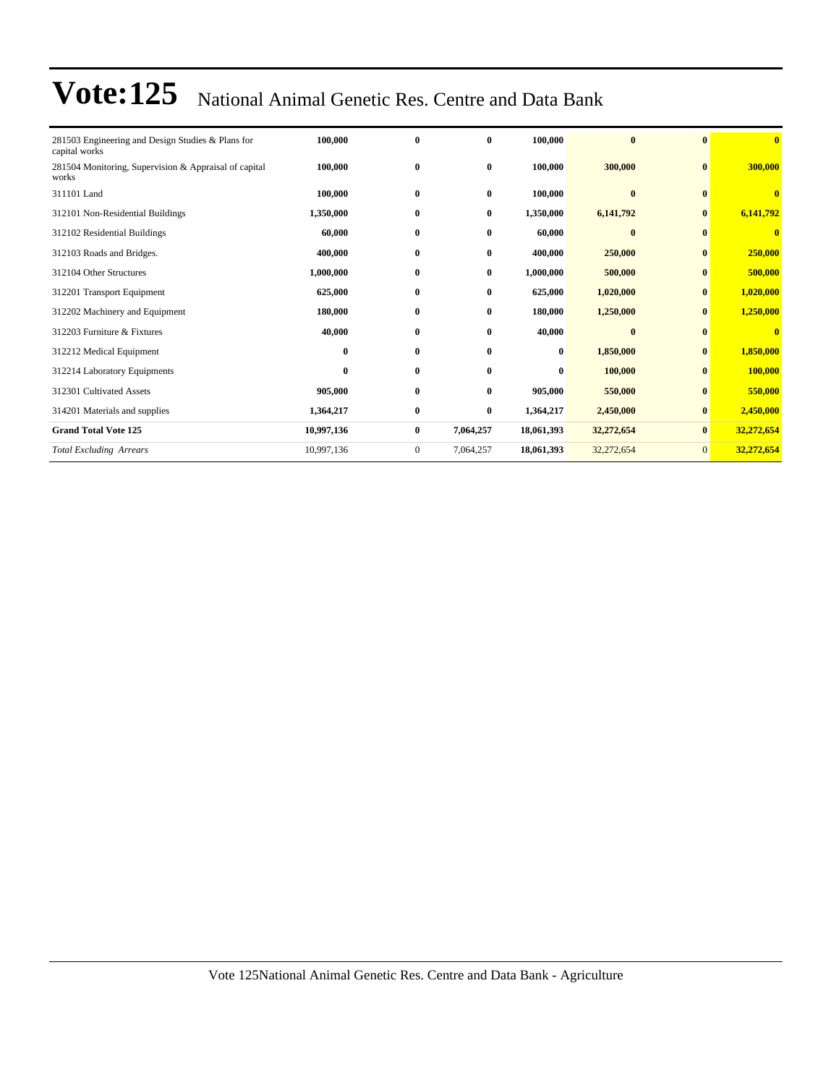| 281503 Engineering and Design Studies & Plans for<br>capital works | 100,000    | $\bf{0}$     | 0         | 100,000    | $\bf{0}$     | $\mathbf{0}$   | $\mathbf{0}$ |
|--------------------------------------------------------------------|------------|--------------|-----------|------------|--------------|----------------|--------------|
| 281504 Monitoring, Supervision & Appraisal of capital<br>works     | 100,000    | $\bf{0}$     | $\bf{0}$  | 100,000    | 300,000      | $\mathbf{0}$   | 300,000      |
| 311101 Land                                                        | 100,000    | $\bf{0}$     | $\bf{0}$  | 100,000    | $\mathbf{0}$ |                | $\bf{0}$     |
| 312101 Non-Residential Buildings                                   | 1,350,000  | $\bf{0}$     | $\bf{0}$  | 1,350,000  | 6,141,792    | $\bf{0}$       | 6,141,792    |
| 312102 Residential Buildings                                       | 60,000     | $\bf{0}$     | 0         | 60,000     | $\bf{0}$     | $\bf{0}$       | $\mathbf{0}$ |
| 312103 Roads and Bridges.                                          | 400,000    | $\bf{0}$     | 0         | 400,000    | 250,000      | $\bf{0}$       | 250,000      |
| 312104 Other Structures                                            | 1,000,000  | $\bf{0}$     | 0         | 1,000,000  | 500,000      | $\bf{0}$       | 500,000      |
| 312201 Transport Equipment                                         | 625,000    | $\bf{0}$     | $\bf{0}$  | 625,000    | 1,020,000    | $\bf{0}$       | 1,020,000    |
| 312202 Machinery and Equipment                                     | 180,000    | $\bf{0}$     | 0         | 180,000    | 1,250,000    | $\bf{0}$       | 1,250,000    |
| 312203 Furniture & Fixtures                                        | 40,000     | $\bf{0}$     | 0         | 40,000     | $\bf{0}$     | $\bf{0}$       | $\mathbf{0}$ |
| 312212 Medical Equipment                                           | $\bf{0}$   | $\bf{0}$     | 0         | $\bf{0}$   | 1,850,000    | $\bf{0}$       | 1,850,000    |
| 312214 Laboratory Equipments                                       | $\bf{0}$   | $\bf{0}$     | 0         | $\bf{0}$   | 100,000      | $\bf{0}$       | 100,000      |
| 312301 Cultivated Assets                                           | 905,000    | $\bf{0}$     | $\bf{0}$  | 905,000    | 550,000      |                | 550,000      |
| 314201 Materials and supplies                                      | 1,364,217  | $\bf{0}$     | 0         | 1,364,217  | 2,450,000    | $\bf{0}$       | 2,450,000    |
| <b>Grand Total Vote 125</b>                                        | 10,997,136 | $\bf{0}$     | 7,064,257 | 18,061,393 | 32,272,654   | $\bf{0}$       | 32,272,654   |
| <b>Total Excluding Arrears</b>                                     | 10,997,136 | $\mathbf{0}$ | 7,064,257 | 18,061,393 | 32,272,654   | $\overline{0}$ | 32,272,654   |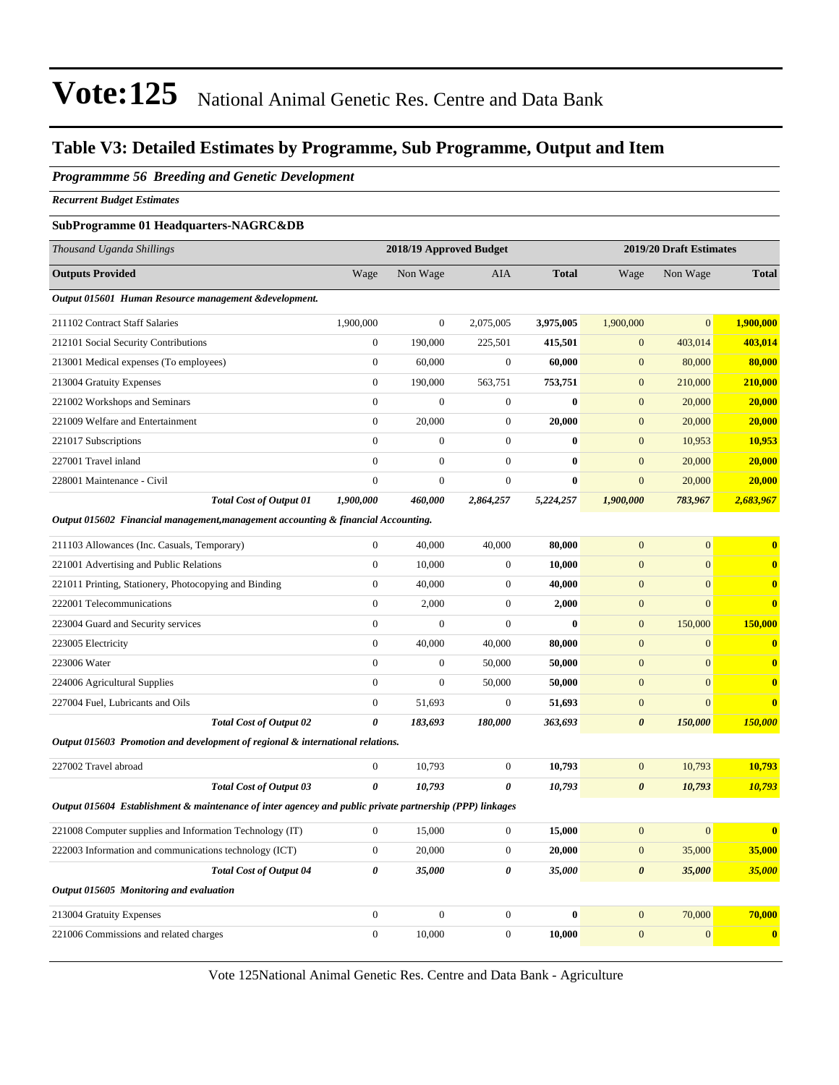#### **Table V3: Detailed Estimates by Programme, Sub Programme, Output and Item**

#### *Programmme 56 Breeding and Genetic Development*

*Recurrent Budget Estimates*

#### **SubProgramme 01 Headquarters-NAGRC&DB**

| Thousand Uganda Shillings                                                         |                | 2018/19 Approved Budget |                |              |                | 2019/20 Draft Estimates |              |  |
|-----------------------------------------------------------------------------------|----------------|-------------------------|----------------|--------------|----------------|-------------------------|--------------|--|
| <b>Outputs Provided</b>                                                           | Wage           | Non Wage                | <b>AIA</b>     | <b>Total</b> | Wage           | Non Wage                | <b>Total</b> |  |
| Output 015601 Human Resource management & development.                            |                |                         |                |              |                |                         |              |  |
| 211102 Contract Staff Salaries                                                    | 1,900,000      | $\mathbf{0}$            | 2,075,005      | 3,975,005    | 1,900,000      | $\overline{0}$          | 1,900,000    |  |
| 212101 Social Security Contributions                                              | $\mathbf{0}$   | 190,000                 | 225,501        | 415,501      | $\mathbf{0}$   | 403,014                 | 403,014      |  |
| 213001 Medical expenses (To employees)                                            | $\mathbf{0}$   | 60,000                  | $\mathbf{0}$   | 60,000       | $\mathbf{0}$   | 80,000                  | 80,000       |  |
| 213004 Gratuity Expenses                                                          | $\mathbf{0}$   | 190,000                 | 563,751        | 753,751      | $\mathbf{0}$   | 210,000                 | 210,000      |  |
| 221002 Workshops and Seminars                                                     | $\mathbf{0}$   | $\mathbf{0}$            | $\mathbf{0}$   | $\mathbf{0}$ | $\overline{0}$ | 20,000                  | 20,000       |  |
| 221009 Welfare and Entertainment                                                  | $\mathbf{0}$   | 20,000                  | $\theta$       | 20,000       | $\mathbf{0}$   | 20,000                  | 20,000       |  |
| 221017 Subscriptions                                                              | $\Omega$       | $\mathbf{0}$            | $\mathbf{0}$   | $\mathbf{0}$ | $\overline{0}$ | 10,953                  | 10,953       |  |
| 227001 Travel inland                                                              | $\overline{0}$ | $\mathbf{0}$            | $\overline{0}$ | $\mathbf{0}$ | $\overline{0}$ | 20,000                  | 20,000       |  |
| 228001 Maintenance - Civil                                                        | $\overline{0}$ | $\mathbf{0}$            | $\mathbf{0}$   | $\mathbf{0}$ | $\overline{0}$ | 20,000                  | 20,000       |  |
| <b>Total Cost of Output 01</b>                                                    | 1,900,000      | 460,000                 | 2,864,257      | 5,224,257    | 1,900,000      | 783,967                 | 2,683,967    |  |
| Output 015602 Financial management, management accounting & financial Accounting. |                |                         |                |              |                |                         |              |  |

| 211103 Allowances (Inc. Casuals, Temporary)                                                              | $\overline{0}$ | 40,000       | 40.000         | 80,000   | $\Omega$              | $\Omega$       | $\mathbf{0}$            |
|----------------------------------------------------------------------------------------------------------|----------------|--------------|----------------|----------|-----------------------|----------------|-------------------------|
| 221001 Advertising and Public Relations                                                                  | $\overline{0}$ | 10,000       | $\overline{0}$ | 10,000   | $\mathbf{0}$          | $\overline{0}$ | $\mathbf{0}$            |
| 221011 Printing, Stationery, Photocopying and Binding                                                    | $\overline{0}$ | 40,000       | $\overline{0}$ | 40,000   | $\mathbf{0}$          | $\mathbf{0}$   | $\overline{\mathbf{0}}$ |
| 222001 Telecommunications                                                                                | $\overline{0}$ | 2,000        | $\Omega$       | 2,000    | $\mathbf{0}$          | $\mathbf{0}$   | $\overline{\mathbf{0}}$ |
| 223004 Guard and Security services                                                                       | $\overline{0}$ | $\mathbf{0}$ | $\overline{0}$ | 0        | $\mathbf{0}$          | 150,000        | 150,000                 |
| 223005 Electricity                                                                                       | $\overline{0}$ | 40,000       | 40,000         | 80,000   | $\mathbf{0}$          | $\mathbf{0}$   | $\mathbf{0}$            |
| 223006 Water                                                                                             | $\Omega$       | $\mathbf{0}$ | 50,000         | 50,000   | $\mathbf{0}$          | $\Omega$       | $\overline{\mathbf{0}}$ |
| 224006 Agricultural Supplies                                                                             | $\overline{0}$ | $\mathbf{0}$ | 50,000         | 50,000   | $\overline{0}$        | $\mathbf{0}$   | $\mathbf{0}$            |
| 227004 Fuel, Lubricants and Oils                                                                         | $\Omega$       | 51,693       | $\overline{0}$ | 51,693   | $\mathbf{0}$          | $\Omega$       | $\mathbf{0}$            |
| <b>Total Cost of Output 02</b>                                                                           | 0              | 183,693      | 180,000        | 363,693  | $\boldsymbol{\theta}$ | 150,000        | 150,000                 |
| Output 015603 Promotion and development of regional & international relations.                           |                |              |                |          |                       |                |                         |
| 227002 Travel abroad                                                                                     | $\overline{0}$ | 10,793       | $\Omega$       | 10,793   | $\mathbf{0}$          | 10,793         | 10,793                  |
| <b>Total Cost of Output 03</b>                                                                           | 0              | 10,793       | 0              | 10,793   | $\boldsymbol{\theta}$ | 10,793         | 10,793                  |
| Output 015604 Establishment & maintenance of inter agencey and public private partnership (PPP) linkages |                |              |                |          |                       |                |                         |
| 221008 Computer supplies and Information Technology (IT)                                                 | $\overline{0}$ | 15,000       | $\overline{0}$ | 15,000   | $\overline{0}$        | $\overline{0}$ | $\mathbf{0}$            |
| 222003 Information and communications technology (ICT)                                                   | $\Omega$       | 20,000       | $\Omega$       | 20,000   | $\mathbf{0}$          | 35,000         | 35,000                  |
| <b>Total Cost of Output 04</b>                                                                           | 0              | 35,000       | 0              | 35,000   | $\boldsymbol{\theta}$ | 35,000         | 35,000                  |
| Output 015605 Monitoring and evaluation                                                                  |                |              |                |          |                       |                |                         |
| 213004 Gratuity Expenses                                                                                 | $\overline{0}$ | $\mathbf{0}$ | $\overline{0}$ | $\bf{0}$ | $\overline{0}$        | 70,000         | 70,000                  |
| 221006 Commissions and related charges                                                                   | $\overline{0}$ | 10.000       | $\overline{0}$ | 10.000   | $\overline{0}$        | $\mathbf{0}$   | $\mathbf{0}$            |
|                                                                                                          |                |              |                |          |                       |                |                         |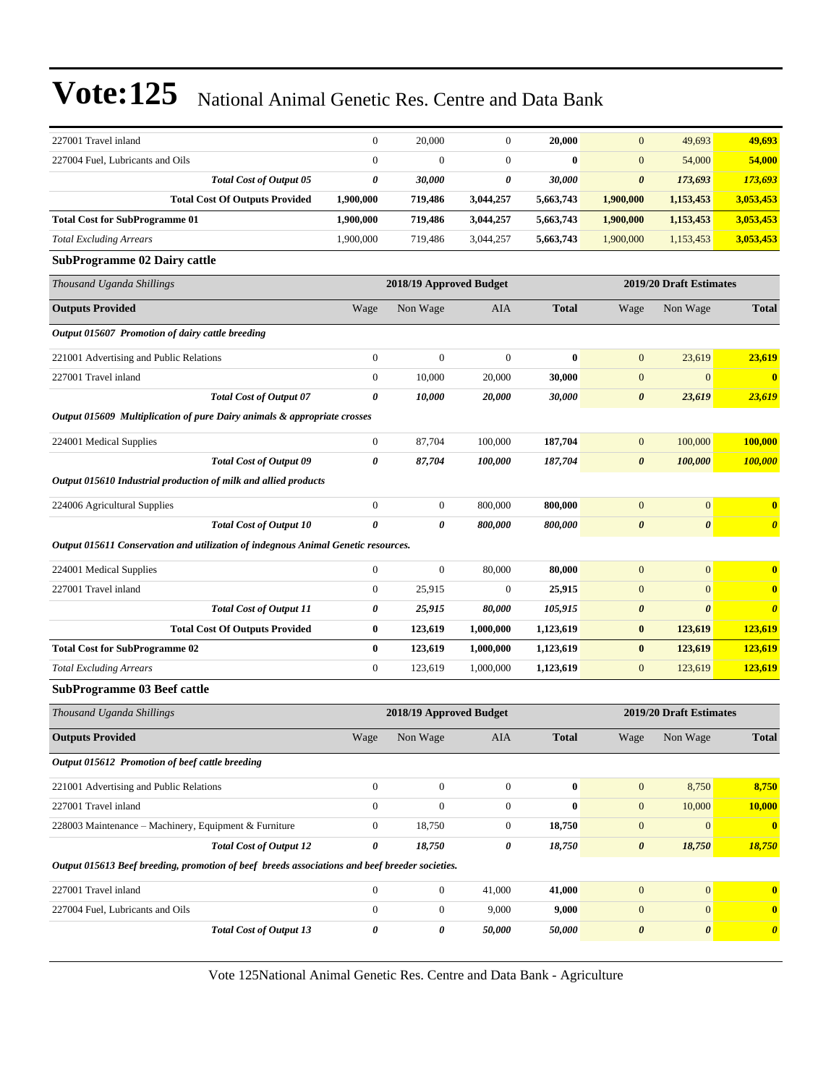| 227001 Travel inland                                                                           |                                       | $\boldsymbol{0}$ | 20,000                  | $\mathbf{0}$     | 20,000       | $\mathbf{0}$          | 49,693                  | 49,693                |
|------------------------------------------------------------------------------------------------|---------------------------------------|------------------|-------------------------|------------------|--------------|-----------------------|-------------------------|-----------------------|
| 227004 Fuel, Lubricants and Oils                                                               |                                       | $\boldsymbol{0}$ | $\overline{0}$          | $\overline{0}$   | $\bf{0}$     | $\mathbf{0}$          | 54,000                  | 54,000                |
|                                                                                                | <b>Total Cost of Output 05</b>        | 0                | 30,000                  | 0                | 30,000       | $\pmb{\theta}$        | 173,693                 | 173,693               |
|                                                                                                | <b>Total Cost Of Outputs Provided</b> | 1,900,000        | 719,486                 | 3,044,257        | 5,663,743    | 1,900,000             | 1,153,453               | 3,053,453             |
| <b>Total Cost for SubProgramme 01</b>                                                          |                                       | 1,900,000        | 719,486                 | 3,044,257        | 5,663,743    | 1,900,000             | 1,153,453               | 3,053,453             |
| <b>Total Excluding Arrears</b>                                                                 |                                       | 1,900,000        | 719,486                 | 3,044,257        | 5,663,743    | 1,900,000             | 1,153,453               | 3,053,453             |
| <b>SubProgramme 02 Dairy cattle</b>                                                            |                                       |                  |                         |                  |              |                       |                         |                       |
| Thousand Uganda Shillings                                                                      |                                       |                  | 2018/19 Approved Budget |                  |              |                       | 2019/20 Draft Estimates |                       |
| <b>Outputs Provided</b>                                                                        |                                       | Wage             | Non Wage                | AIA              | <b>Total</b> | Wage                  | Non Wage                | <b>Total</b>          |
| Output 015607 Promotion of dairy cattle breeding                                               |                                       |                  |                         |                  |              |                       |                         |                       |
| 221001 Advertising and Public Relations                                                        |                                       | $\boldsymbol{0}$ | $\boldsymbol{0}$        | $\boldsymbol{0}$ | $\bf{0}$     | $\mathbf{0}$          | 23,619                  | 23,619                |
| 227001 Travel inland                                                                           |                                       | $\boldsymbol{0}$ | 10,000                  | 20,000           | 30,000       | $\boldsymbol{0}$      | $\boldsymbol{0}$        | $\bf{0}$              |
|                                                                                                | <b>Total Cost of Output 07</b>        | 0                | 10,000                  | 20,000           | 30,000       | $\boldsymbol{\theta}$ | 23,619                  | 23,619                |
| Output 015609 Multiplication of pure Dairy animals & appropriate crosses                       |                                       |                  |                         |                  |              |                       |                         |                       |
| 224001 Medical Supplies                                                                        |                                       | $\boldsymbol{0}$ | 87,704                  | 100,000          | 187,704      | $\boldsymbol{0}$      | 100,000                 | 100,000               |
|                                                                                                | <b>Total Cost of Output 09</b>        | 0                | 87,704                  | 100,000          | 187,704      | $\boldsymbol{\theta}$ | 100,000                 | 100,000               |
| Output 015610 Industrial production of milk and allied products                                |                                       |                  |                         |                  |              |                       |                         |                       |
| 224006 Agricultural Supplies                                                                   |                                       | $\boldsymbol{0}$ | $\boldsymbol{0}$        | 800,000          | 800,000      | $\mathbf{0}$          | $\boldsymbol{0}$        | $\bf{0}$              |
|                                                                                                | <b>Total Cost of Output 10</b>        | $\pmb{\theta}$   | 0                       | 800,000          | 800,000      | $\boldsymbol{\theta}$ | $\boldsymbol{\theta}$   | $\boldsymbol{\theta}$ |
| Output 015611 Conservation and utilization of indegnous Animal Genetic resources.              |                                       |                  |                         |                  |              |                       |                         |                       |
| 224001 Medical Supplies                                                                        |                                       | $\boldsymbol{0}$ | $\boldsymbol{0}$        | 80,000           | 80,000       | $\mathbf{0}$          | $\mathbf{0}$            | $\bf{0}$              |
| 227001 Travel inland                                                                           |                                       | $\boldsymbol{0}$ | 25,915                  | $\mathbf{0}$     | 25,915       | $\boldsymbol{0}$      | $\mathbf{0}$            | $\bf{0}$              |
|                                                                                                | <b>Total Cost of Output 11</b>        | 0                | 25,915                  | 80,000           | 105,915      | $\pmb{\theta}$        | $\boldsymbol{\theta}$   | $\boldsymbol{\theta}$ |
|                                                                                                | <b>Total Cost Of Outputs Provided</b> | $\bf{0}$         | 123,619                 | 1,000,000        | 1,123,619    | $\bf{0}$              | 123,619                 | 123,619               |
| <b>Total Cost for SubProgramme 02</b>                                                          |                                       | $\bf{0}$         | 123,619                 | 1,000,000        | 1,123,619    | $\bf{0}$              | 123,619                 | 123,619               |
| <b>Total Excluding Arrears</b>                                                                 |                                       | $\boldsymbol{0}$ | 123,619                 | 1,000,000        | 1,123,619    | $\mathbf{0}$          | 123,619                 | 123,619               |
| <b>SubProgramme 03 Beef cattle</b>                                                             |                                       |                  |                         |                  |              |                       |                         |                       |
| Thousand Uganda Shillings                                                                      |                                       |                  | 2018/19 Approved Budget |                  |              |                       | 2019/20 Draft Estimates |                       |
| <b>Outputs Provided</b>                                                                        |                                       | Wage             | Non Wage                | AIA              | <b>Total</b> | Wage                  | Non Wage                | <b>Total</b>          |
| Output 015612 Promotion of beef cattle breeding                                                |                                       |                  |                         |                  |              |                       |                         |                       |
| 221001 Advertising and Public Relations                                                        |                                       | $\boldsymbol{0}$ | $\boldsymbol{0}$        | $\boldsymbol{0}$ | $\bf{0}$     | $\mathbf{0}$          | 8,750                   | 8,750                 |
| 227001 Travel inland                                                                           |                                       | $\boldsymbol{0}$ | $\boldsymbol{0}$        | $\mathbf{0}$     | $\bf{0}$     | $\boldsymbol{0}$      | 10,000                  | 10,000                |
| 228003 Maintenance - Machinery, Equipment & Furniture                                          |                                       | $\boldsymbol{0}$ | 18,750                  | $\mathbf{0}$     | 18,750       | $\mathbf{0}$          | $\mathbf{0}$            | $\mathbf{0}$          |
|                                                                                                | <b>Total Cost of Output 12</b>        | 0                | 18,750                  | 0                | 18,750       | $\pmb{\theta}$        | 18,750                  | 18,750                |
| Output 015613 Beef breeding, promotion of beef breeds associations and beef breeder societies. |                                       |                  |                         |                  |              |                       |                         |                       |
| 227001 Travel inland                                                                           |                                       | $\boldsymbol{0}$ | $\boldsymbol{0}$        | 41,000           | 41,000       | $\mathbf{0}$          | $\mathbf{0}$            | $\bf{0}$              |
| 227004 Fuel, Lubricants and Oils                                                               |                                       | $\boldsymbol{0}$ | $\boldsymbol{0}$        | 9,000            | 9,000        | $\mathbf{0}$          | $\boldsymbol{0}$        | $\bf{0}$              |
|                                                                                                | <b>Total Cost of Output 13</b>        | $\pmb{\theta}$   | 0                       | 50,000           | 50,000       | $\boldsymbol{\theta}$ | $\pmb{\theta}$          | $\boldsymbol{\theta}$ |
|                                                                                                |                                       |                  |                         |                  |              |                       |                         |                       |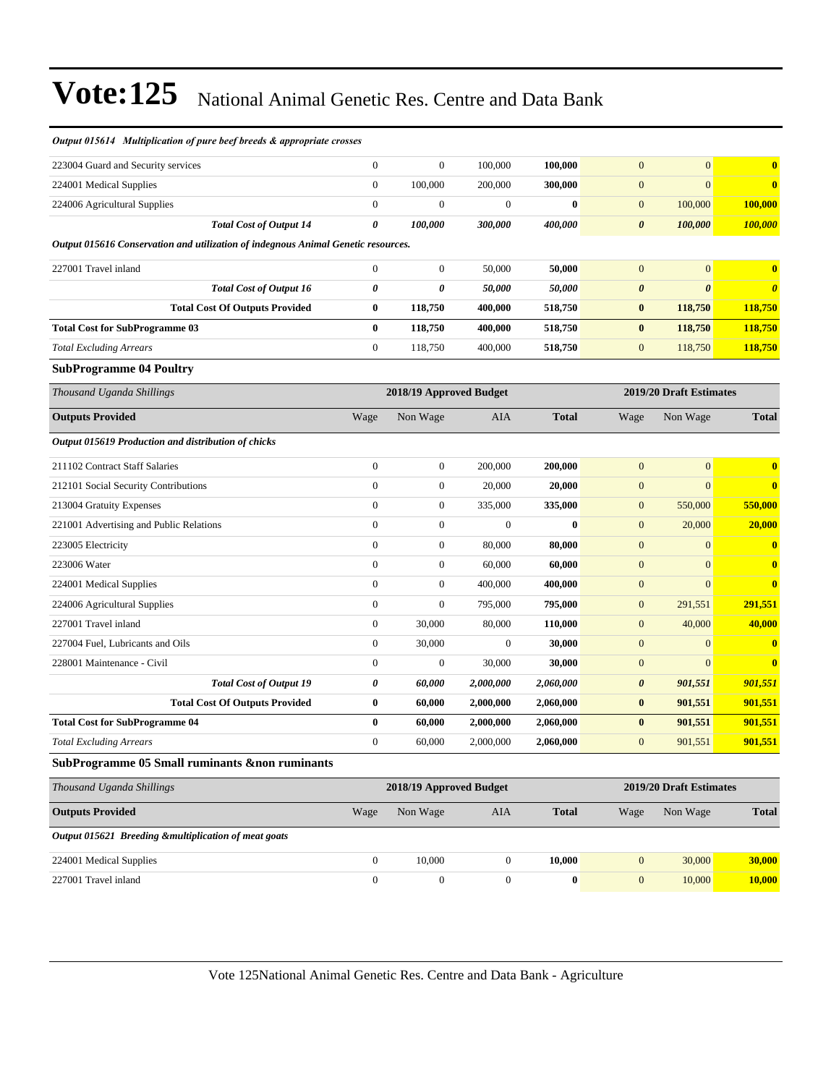| Output 015614 Multiplication of pure beef breeds & appropriate crosses            |                  |                         |                  |              |                       |                         |                       |
|-----------------------------------------------------------------------------------|------------------|-------------------------|------------------|--------------|-----------------------|-------------------------|-----------------------|
| 223004 Guard and Security services                                                | $\boldsymbol{0}$ | $\boldsymbol{0}$        | 100,000          | 100,000      | $\mathbf{0}$          | $\mathbf{0}$            | $\bf{0}$              |
| 224001 Medical Supplies                                                           | $\boldsymbol{0}$ | 100,000                 | 200,000          | 300,000      | $\boldsymbol{0}$      | $\mathbf{0}$            | $\mathbf{0}$          |
| 224006 Agricultural Supplies                                                      | $\boldsymbol{0}$ | $\boldsymbol{0}$        | $\boldsymbol{0}$ | $\bf{0}$     | $\mathbf{0}$          | 100,000                 | 100,000               |
| <b>Total Cost of Output 14</b>                                                    | 0                | 100,000                 | 300,000          | 400,000      | $\boldsymbol{\theta}$ | 100,000                 | <b>100,000</b>        |
| Output 015616 Conservation and utilization of indegnous Animal Genetic resources. |                  |                         |                  |              |                       |                         |                       |
| 227001 Travel inland                                                              | $\boldsymbol{0}$ | $\mathbf{0}$            | 50,000           | 50,000       | $\mathbf{0}$          | $\boldsymbol{0}$        | $\bf{0}$              |
| <b>Total Cost of Output 16</b>                                                    | $\pmb{\theta}$   | 0                       | 50,000           | 50,000       | $\boldsymbol{\theta}$ | $\boldsymbol{\theta}$   | $\boldsymbol{\theta}$ |
| <b>Total Cost Of Outputs Provided</b>                                             | $\bf{0}$         | 118,750                 | 400,000          | 518,750      | $\bf{0}$              | 118,750                 | 118,750               |
| <b>Total Cost for SubProgramme 03</b>                                             | $\bf{0}$         | 118,750                 | 400,000          | 518,750      | $\bf{0}$              | 118,750                 | 118,750               |
| <b>Total Excluding Arrears</b>                                                    | $\boldsymbol{0}$ | 118,750                 | 400,000          | 518,750      | $\mathbf{0}$          | 118,750                 | 118,750               |
| <b>SubProgramme 04 Poultry</b>                                                    |                  |                         |                  |              |                       |                         |                       |
| Thousand Uganda Shillings                                                         |                  | 2018/19 Approved Budget |                  |              |                       | 2019/20 Draft Estimates |                       |
| <b>Outputs Provided</b>                                                           | Wage             | Non Wage                | AIA              | <b>Total</b> | Wage                  | Non Wage                | <b>Total</b>          |
| Output 015619 Production and distribution of chicks                               |                  |                         |                  |              |                       |                         |                       |
| 211102 Contract Staff Salaries                                                    | $\boldsymbol{0}$ | $\boldsymbol{0}$        | 200,000          | 200,000      | $\mathbf{0}$          | $\boldsymbol{0}$        | $\bf{0}$              |
| 212101 Social Security Contributions                                              | $\boldsymbol{0}$ | $\boldsymbol{0}$        | 20,000           | 20,000       | $\boldsymbol{0}$      | $\mathbf{0}$            | $\bf{0}$              |
| 213004 Gratuity Expenses                                                          | $\boldsymbol{0}$ | $\mathbf{0}$            | 335,000          | 335,000      | $\mathbf{0}$          | 550,000                 | 550,000               |
| 221001 Advertising and Public Relations                                           | $\boldsymbol{0}$ | $\boldsymbol{0}$        | $\boldsymbol{0}$ | $\bf{0}$     | $\mathbf{0}$          | 20,000                  | 20,000                |
| 223005 Electricity                                                                | $\boldsymbol{0}$ | $\boldsymbol{0}$        | 80,000           | 80,000       | $\boldsymbol{0}$      | $\boldsymbol{0}$        | $\bf{0}$              |
| 223006 Water                                                                      | $\boldsymbol{0}$ | $\boldsymbol{0}$        | 60,000           | 60,000       | $\boldsymbol{0}$      | $\mathbf{0}$            | $\mathbf{0}$          |
| 224001 Medical Supplies                                                           | $\boldsymbol{0}$ | $\boldsymbol{0}$        | 400,000          | 400,000      | $\boldsymbol{0}$      | $\mathbf{0}$            | $\bf{0}$              |
| 224006 Agricultural Supplies                                                      | $\boldsymbol{0}$ | $\boldsymbol{0}$        | 795,000          | 795,000      | $\boldsymbol{0}$      | 291,551                 | 291,551               |
| 227001 Travel inland                                                              | $\boldsymbol{0}$ | 30,000                  | 80,000           | 110,000      | $\mathbf{0}$          | 40,000                  | 40,000                |
| 227004 Fuel, Lubricants and Oils                                                  | $\boldsymbol{0}$ | 30,000                  | $\mathbf{0}$     | 30,000       | $\boldsymbol{0}$      | $\boldsymbol{0}$        | $\bf{0}$              |
| 228001 Maintenance - Civil                                                        | $\boldsymbol{0}$ | $\boldsymbol{0}$        | 30,000           | 30,000       | $\boldsymbol{0}$      | $\mathbf{0}$            | $\mathbf{0}$          |
| <b>Total Cost of Output 19</b>                                                    | 0                | 60,000                  | 2,000,000        | 2,060,000    | 0                     | 901,551                 | 901,551               |
| <b>Total Cost Of Outputs Provided</b>                                             | $\bf{0}$         | 60,000                  | 2,000,000        | 2,060,000    | $\bf{0}$              | 901,551                 | 901,551               |
| <b>Total Cost for SubProgramme 04</b>                                             | $\bf{0}$         | 60,000                  | 2,000,000        | 2,060,000    | $\bf{0}$              | 901,551                 | 901,551               |
| Total Excluding Arrears                                                           | $\boldsymbol{0}$ | 60,000                  | 2,000,000        | 2,060,000    | $\overline{0}$        | 901,551                 | 901,551               |
| SubProgramme 05 Small ruminants &non ruminants                                    |                  |                         |                  |              |                       |                         |                       |
| Thousand Uganda Shillings                                                         |                  | 2018/19 Approved Budget |                  |              |                       | 2019/20 Draft Estimates |                       |
| <b>Outputs Provided</b>                                                           | Wage             | Non Wage                | AIA              | <b>Total</b> | Wage                  | Non Wage                | <b>Total</b>          |
| Output 015621 Breeding &multiplication of meat goats                              |                  |                         |                  |              |                       |                         |                       |
| 224001 Medical Supplies                                                           | $\boldsymbol{0}$ | 10,000                  | $\mathbf{0}$     | 10,000       | $\boldsymbol{0}$      | 30,000                  | 30,000                |
| 227001 Travel inland                                                              | $\boldsymbol{0}$ | $\boldsymbol{0}$        | $\boldsymbol{0}$ | $\bf{0}$     | $\boldsymbol{0}$      | 10,000                  | 10,000                |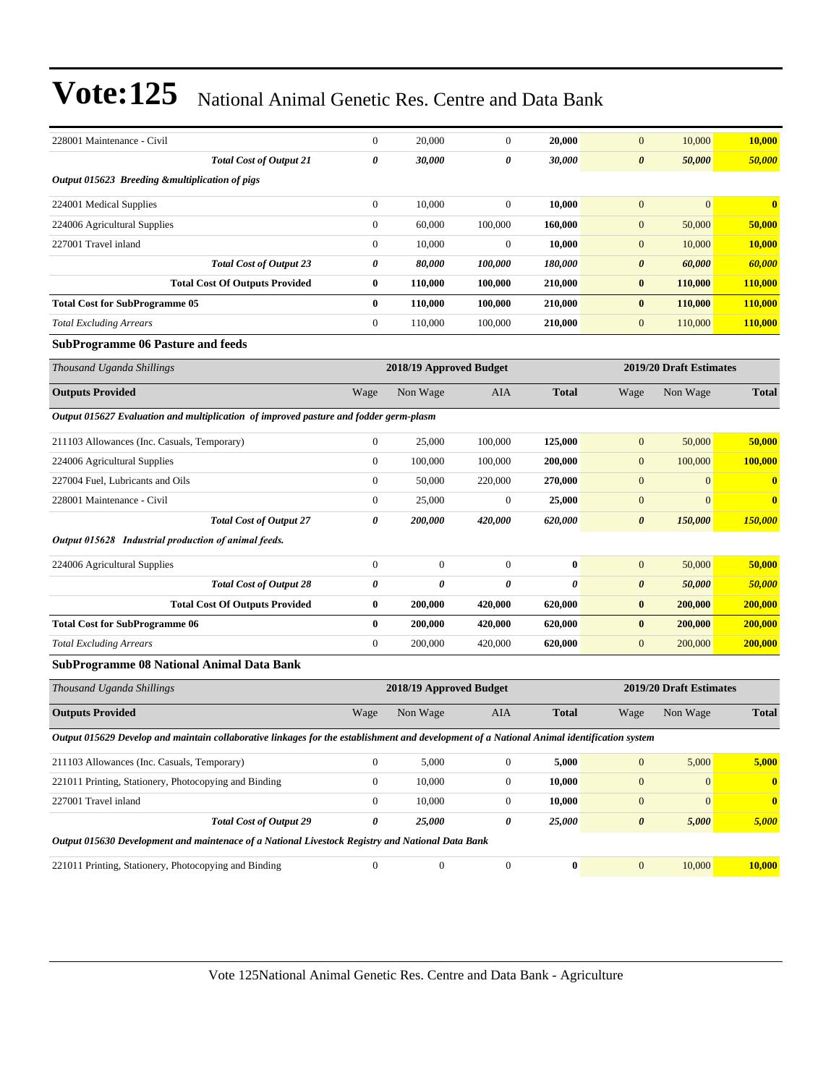| 228001 Maintenance - Civil                                                                                                                 |                                       | $\boldsymbol{0}$ | 20,000                  | $\mathbf{0}$     | 20.000       | $\mathbf{0}$          | 10,000                  | 10,000                  |
|--------------------------------------------------------------------------------------------------------------------------------------------|---------------------------------------|------------------|-------------------------|------------------|--------------|-----------------------|-------------------------|-------------------------|
|                                                                                                                                            | <b>Total Cost of Output 21</b>        | 0                | 30,000                  | 0                | 30,000       | $\boldsymbol{\theta}$ | 50,000                  | <b>50,000</b>           |
| Output 015623 Breeding &multiplication of pigs                                                                                             |                                       |                  |                         |                  |              |                       |                         |                         |
| 224001 Medical Supplies                                                                                                                    |                                       | $\boldsymbol{0}$ | 10,000                  | $\boldsymbol{0}$ | 10,000       | $\mathbf{0}$          | $\overline{0}$          | $\overline{\mathbf{0}}$ |
| 224006 Agricultural Supplies                                                                                                               |                                       | $\boldsymbol{0}$ | 60,000                  | 100,000          | 160,000      | $\mathbf{0}$          | 50,000                  | 50,000                  |
| 227001 Travel inland                                                                                                                       |                                       | $\boldsymbol{0}$ | 10,000                  | $\boldsymbol{0}$ | 10,000       | $\mathbf{0}$          | 10,000                  | 10,000                  |
|                                                                                                                                            | <b>Total Cost of Output 23</b>        | 0                | 80,000                  | 100,000          | 180,000      | $\boldsymbol{\theta}$ | 60,000                  | 60,000                  |
|                                                                                                                                            | <b>Total Cost Of Outputs Provided</b> | $\bf{0}$         | 110,000                 | 100,000          | 210,000      | $\bf{0}$              | 110,000                 | <b>110,000</b>          |
| <b>Total Cost for SubProgramme 05</b>                                                                                                      |                                       | $\bf{0}$         | 110,000                 | 100,000          | 210,000      | $\bf{0}$              | 110,000                 | 110,000                 |
| <b>Total Excluding Arrears</b>                                                                                                             |                                       | $\boldsymbol{0}$ | 110,000                 | 100,000          | 210,000      | $\mathbf{0}$          | 110,000                 | 110,000                 |
| <b>SubProgramme 06 Pasture and feeds</b>                                                                                                   |                                       |                  |                         |                  |              |                       |                         |                         |
| Thousand Uganda Shillings                                                                                                                  |                                       |                  | 2018/19 Approved Budget |                  |              |                       | 2019/20 Draft Estimates |                         |
| <b>Outputs Provided</b>                                                                                                                    |                                       | Wage             | Non Wage                | AIA              | <b>Total</b> | Wage                  | Non Wage                | <b>Total</b>            |
| Output 015627 Evaluation and multiplication of improved pasture and fodder germ-plasm                                                      |                                       |                  |                         |                  |              |                       |                         |                         |
| 211103 Allowances (Inc. Casuals, Temporary)                                                                                                |                                       | $\mathbf{0}$     | 25,000                  | 100,000          | 125,000      | $\mathbf{0}$          | 50,000                  | 50,000                  |
| 224006 Agricultural Supplies                                                                                                               |                                       | $\mathbf{0}$     | 100,000                 | 100,000          | 200,000      | $\mathbf{0}$          | 100,000                 | 100,000                 |
| 227004 Fuel, Lubricants and Oils                                                                                                           |                                       | $\mathbf{0}$     | 50,000                  | 220,000          | 270,000      | $\mathbf{0}$          | $\mathbf{0}$            | $\bf{0}$                |
| 228001 Maintenance - Civil                                                                                                                 |                                       | $\mathbf{0}$     | 25,000                  | $\boldsymbol{0}$ | 25,000       | $\mathbf{0}$          | $\overline{0}$          | $\bf{0}$                |
|                                                                                                                                            | <b>Total Cost of Output 27</b>        | 0                | 200,000                 | 420,000          | 620,000      | $\boldsymbol{\theta}$ | 150,000                 | 150,000                 |
| Output 015628 Industrial production of animal feeds.                                                                                       |                                       |                  |                         |                  |              |                       |                         |                         |
| 224006 Agricultural Supplies                                                                                                               |                                       | $\mathbf{0}$     | $\boldsymbol{0}$        | $\mathbf{0}$     | $\bf{0}$     | $\mathbf{0}$          | 50,000                  | 50,000                  |
|                                                                                                                                            | <b>Total Cost of Output 28</b>        | 0                | 0                       | 0                | $\theta$     | $\boldsymbol{\theta}$ | 50,000                  | 50,000                  |
|                                                                                                                                            | <b>Total Cost Of Outputs Provided</b> | $\bf{0}$         | 200,000                 | 420,000          | 620,000      | $\bf{0}$              | 200,000                 | 200,000                 |
| <b>Total Cost for SubProgramme 06</b>                                                                                                      |                                       | $\bf{0}$         | 200,000                 | 420,000          | 620,000      | $\bf{0}$              | 200,000                 | 200,000                 |
| <b>Total Excluding Arrears</b>                                                                                                             |                                       | $\overline{0}$   | 200,000                 | 420,000          | 620,000      | $\mathbf{0}$          | 200,000                 | 200,000                 |
| <b>SubProgramme 08 National Animal Data Bank</b>                                                                                           |                                       |                  |                         |                  |              |                       |                         |                         |
| Thousand Uganda Shillings                                                                                                                  |                                       |                  | 2018/19 Approved Budget |                  |              |                       | 2019/20 Draft Estimates |                         |
| <b>Outputs Provided</b>                                                                                                                    |                                       | Wage             | Non Wage                | <b>AIA</b>       | <b>Total</b> | Wage                  | Non Wage                | <b>Total</b>            |
| Output 015629 Develop and maintain collaborative linkages for the establishment and development of a National Animal identification system |                                       |                  |                         |                  |              |                       |                         |                         |
| 211103 Allowances (Inc. Casuals, Temporary)                                                                                                |                                       | $\boldsymbol{0}$ | 5,000                   | $\boldsymbol{0}$ | 5,000        | $\boldsymbol{0}$      | 5,000                   | 5,000                   |
| 221011 Printing, Stationery, Photocopying and Binding                                                                                      |                                       | $\boldsymbol{0}$ | 10,000                  | $\boldsymbol{0}$ | 10,000       | $\mathbf{0}$          | $\mathbf{0}$            | $\bf{0}$                |
| 227001 Travel inland                                                                                                                       |                                       | $\boldsymbol{0}$ | 10,000                  | $\boldsymbol{0}$ | 10,000       | $\boldsymbol{0}$      | $\overline{0}$          | $\boldsymbol{0}$        |
|                                                                                                                                            | <b>Total Cost of Output 29</b>        | 0                | 25,000                  | 0                | 25,000       | $\boldsymbol{\theta}$ | 5,000                   | 5,000                   |
| Output 015630 Development and maintenace of a National Livestock Registry and National Data Bank                                           |                                       |                  |                         |                  |              |                       |                         |                         |
| 221011 Printing, Stationery, Photocopying and Binding                                                                                      |                                       | $\boldsymbol{0}$ | $\boldsymbol{0}$        | $\boldsymbol{0}$ | $\bf{0}$     | $\boldsymbol{0}$      | 10,000                  | 10,000                  |
|                                                                                                                                            |                                       |                  |                         |                  |              |                       |                         |                         |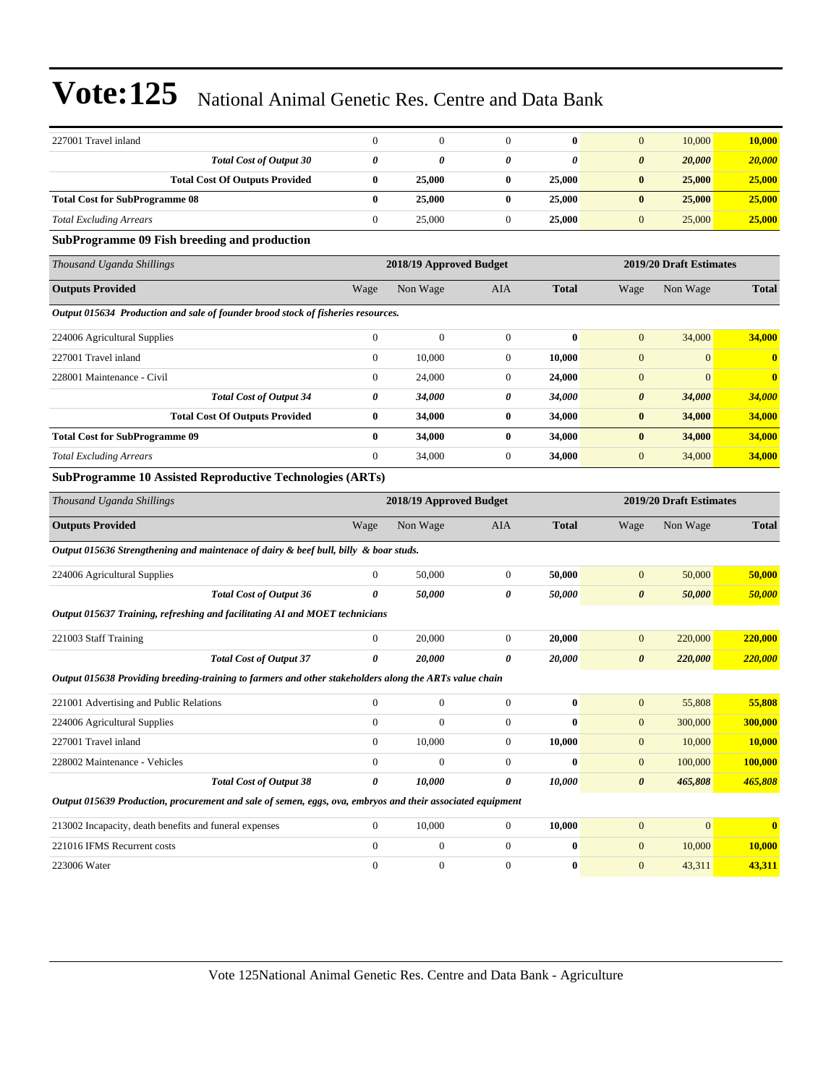| 227001 Travel inland                  | $\boldsymbol{0}$ | $\mathbf{0}$ | 10,000                          | 10,000 |
|---------------------------------------|------------------|--------------|---------------------------------|--------|
| <b>Total Cost of Output 30</b>        | 0                |              | 20,000<br>$\boldsymbol{\theta}$ | 20,000 |
| <b>Total Cost Of Outputs Provided</b> | 25,000           | 25,000       | 25,000                          | 25,000 |
| <b>Total Cost for SubProgramme 08</b> | 25,000           | 25,000       | 25,000                          | 25,000 |
| <b>Total Excluding Arrears</b>        | 25,000           | 25,000       | 25,000                          | 25,000 |

#### **SubProgramme 09 Fish breeding and production**

| Thousand Uganda Shillings                                                        |                | 2018/19 Approved Budget |              |              | 2019/20 Draft Estimates |          |              |
|----------------------------------------------------------------------------------|----------------|-------------------------|--------------|--------------|-------------------------|----------|--------------|
| <b>Outputs Provided</b>                                                          | Wage           | Non Wage                | <b>AIA</b>   | <b>Total</b> | Wage                    | Non Wage | <b>Total</b> |
| Output 015634 Production and sale of founder brood stock of fisheries resources. |                |                         |              |              |                         |          |              |
| 224006 Agricultural Supplies                                                     | $\mathbf{0}$   | $\mathbf{0}$            | $\Omega$     | $\mathbf{0}$ | $\mathbf{0}$            | 34,000   | 34,000       |
| 227001 Travel inland                                                             | $\overline{0}$ | 10,000                  | $\theta$     | 10,000       | $\mathbf{0}$            | $\Omega$ | $\mathbf{0}$ |
| 228001 Maintenance - Civil                                                       | $\overline{0}$ | 24,000                  | $\mathbf{0}$ | 24,000       | $\mathbf{0}$            | $\Omega$ | $\mathbf{0}$ |
| <b>Total Cost of Output 34</b>                                                   | 0              | 34,000                  | 0            | 34,000       | $\boldsymbol{\theta}$   | 34,000   | 34,000       |
| <b>Total Cost Of Outputs Provided</b>                                            | $\bf{0}$       | 34,000                  | $\bf{0}$     | 34,000       | $\bf{0}$                | 34,000   | 34,000       |
| <b>Total Cost for SubProgramme 09</b>                                            | $\mathbf{0}$   | 34,000                  | $\mathbf{0}$ | 34,000       | $\bf{0}$                | 34,000   | 34,000       |
| <b>Total Excluding Arrears</b>                                                   | $\mathbf{0}$   | 34,000                  | $\theta$     | 34,000       | $\mathbf{0}$            | 34,000   | 34,000       |
| <b>SubProgramme 10 Assisted Reproductive Technologies (ARTs)</b>                 |                |                         |              |              |                         |          |              |

| Thousand Uganda Shillings                                                                                  |                                | 2018/19 Approved Budget |                  |                  |              |                       | 2019/20 Draft Estimates |              |  |  |
|------------------------------------------------------------------------------------------------------------|--------------------------------|-------------------------|------------------|------------------|--------------|-----------------------|-------------------------|--------------|--|--|
| <b>Outputs Provided</b>                                                                                    |                                | Wage                    | Non Wage         | <b>AIA</b>       | <b>Total</b> | Wage                  | Non Wage                | <b>Total</b> |  |  |
| Output 015636 Strengthening and maintenace of dairy & beef bull, billy & boar studs.                       |                                |                         |                  |                  |              |                       |                         |              |  |  |
| 224006 Agricultural Supplies                                                                               |                                | $\overline{0}$          | 50,000           | $\mathbf{0}$     | 50,000       | $\mathbf{0}$          | 50,000                  | 50,000       |  |  |
|                                                                                                            | <b>Total Cost of Output 36</b> | 0                       | 50,000           | 0                | 50,000       | 0                     | 50,000                  | 50,000       |  |  |
| Output 015637 Training, refreshing and facilitating AI and MOET technicians                                |                                |                         |                  |                  |              |                       |                         |              |  |  |
| 221003 Staff Training                                                                                      |                                | $\overline{0}$          | 20,000           | $\boldsymbol{0}$ | 20,000       | $\overline{0}$        | 220,000                 | 220,000      |  |  |
|                                                                                                            | <b>Total Cost of Output 37</b> | 0                       | 20,000           | 0                | 20,000       | 0                     | 220,000                 | 220,000      |  |  |
| Output 015638 Providing breeding-training to farmers and other stakeholders along the ARTs value chain     |                                |                         |                  |                  |              |                       |                         |              |  |  |
| 221001 Advertising and Public Relations                                                                    |                                | $\overline{0}$          | $\overline{0}$   | $\Omega$         | $\mathbf{0}$ | $\overline{0}$        | 55,808                  | 55,808       |  |  |
| 224006 Agricultural Supplies                                                                               |                                | $\overline{0}$          | $\overline{0}$   | $\Omega$         | $\mathbf{0}$ | $\mathbf{0}$          | 300,000                 | 300,000      |  |  |
| 227001 Travel inland                                                                                       |                                | $\Omega$                | 10,000           | $\Omega$         | 10,000       | $\overline{0}$        | 10,000                  | 10,000       |  |  |
| 228002 Maintenance - Vehicles                                                                              |                                | $\Omega$                | $\overline{0}$   | $\Omega$         | $\mathbf{0}$ | $\overline{0}$        | 100,000                 | 100,000      |  |  |
|                                                                                                            | <b>Total Cost of Output 38</b> | 0                       | 10,000           | 0                | 10,000       | $\boldsymbol{\theta}$ | 465,808                 | 465,808      |  |  |
| Output 015639 Production, procurement and sale of semen, eggs, ova, embryos and their associated equipment |                                |                         |                  |                  |              |                       |                         |              |  |  |
| 213002 Incapacity, death benefits and funeral expenses                                                     |                                | $\overline{0}$          | 10,000           | $\overline{0}$   | 10,000       | $\mathbf{0}$          | $\overline{0}$          | $\bf{0}$     |  |  |
| 221016 IFMS Recurrent costs                                                                                |                                | $\mathbf{0}$            | $\mathbf{0}$     | $\mathbf{0}$     | $\mathbf{0}$ | $\overline{0}$        | 10,000                  | 10,000       |  |  |
| 223006 Water                                                                                               |                                | $\theta$                | $\boldsymbol{0}$ | $\mathbf{0}$     | $\bf{0}$     | $\overline{0}$        | 43,311                  | 43,311       |  |  |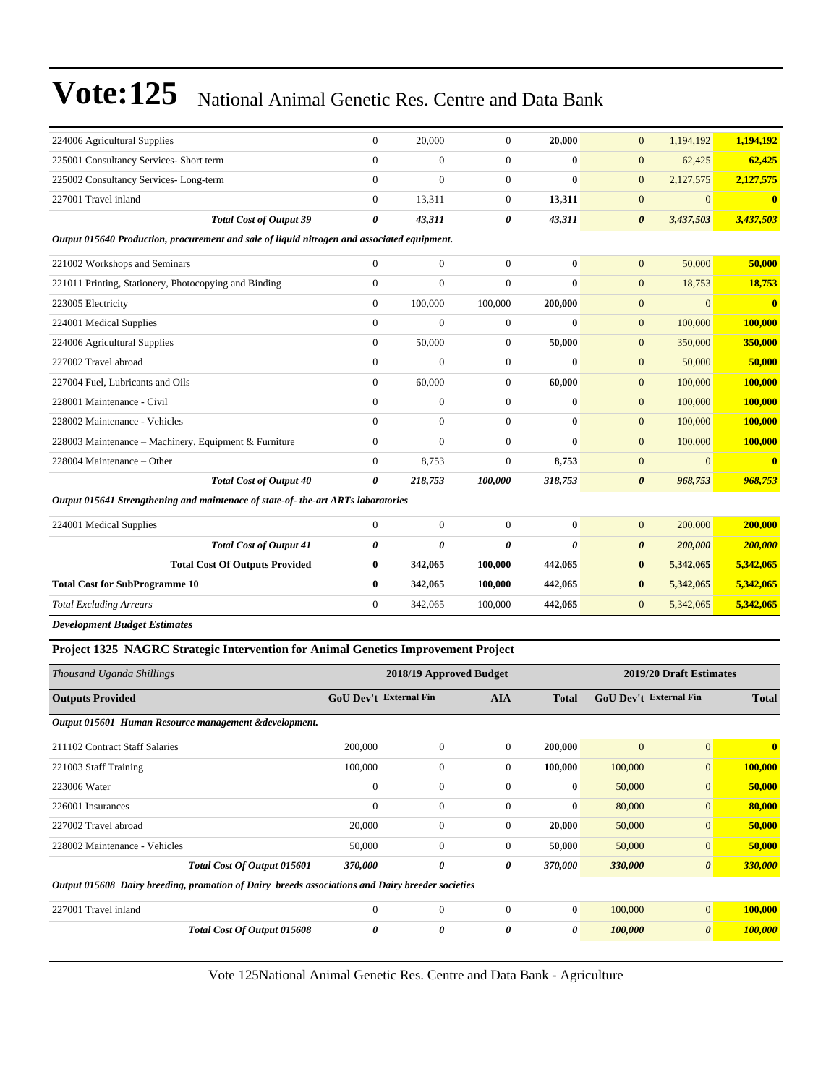| 224006 Agricultural Supplies                                                                | $\mathbf{0}$                  | 20,000                  | $\overline{0}$        | 20,000       | $\mathbf{0}$                  | 1,194,192               | 1,194,192               |
|---------------------------------------------------------------------------------------------|-------------------------------|-------------------------|-----------------------|--------------|-------------------------------|-------------------------|-------------------------|
| 225001 Consultancy Services- Short term                                                     | $\mathbf{0}$                  | $\boldsymbol{0}$        | $\boldsymbol{0}$      | $\bf{0}$     | $\mathbf{0}$                  | 62,425                  | 62,425                  |
| 225002 Consultancy Services-Long-term                                                       | $\Omega$                      | $\theta$                | $\overline{0}$        | $\mathbf{0}$ | $\mathbf{0}$                  | 2,127,575               | 2,127,575               |
| 227001 Travel inland                                                                        | $\mathbf{0}$                  | 13,311                  | $\overline{0}$        | 13,311       | $\boldsymbol{0}$              | $\mathbf{0}$            | $\bf{0}$                |
| <b>Total Cost of Output 39</b>                                                              | 0                             | 43,311                  | 0                     | 43,311       | $\boldsymbol{\theta}$         | 3,437,503               | 3,437,503               |
| Output 015640 Production, procurement and sale of liquid nitrogen and associated equipment. |                               |                         |                       |              |                               |                         |                         |
| 221002 Workshops and Seminars                                                               | $\mathbf{0}$                  | $\boldsymbol{0}$        | $\overline{0}$        | $\bf{0}$     | $\mathbf{0}$                  | 50,000                  | 50,000                  |
| 221011 Printing, Stationery, Photocopying and Binding                                       | $\mathbf{0}$                  | $\overline{0}$          | $\overline{0}$        | $\mathbf{0}$ | $\mathbf{0}$                  | 18,753                  | 18,753                  |
| 223005 Electricity                                                                          | $\mathbf{0}$                  | 100,000                 | 100,000               | 200,000      | $\mathbf{0}$                  | $\overline{0}$          | $\bf{0}$                |
| 224001 Medical Supplies                                                                     | $\mathbf{0}$                  | $\overline{0}$          | $\overline{0}$        | $\mathbf{0}$ | $\mathbf{0}$                  | 100,000                 | 100,000                 |
| 224006 Agricultural Supplies                                                                | $\boldsymbol{0}$              | 50,000                  | $\boldsymbol{0}$      | 50,000       | $\mathbf{0}$                  | 350,000                 | 350,000                 |
| 227002 Travel abroad                                                                        | $\overline{0}$                | $\overline{0}$          | $\overline{0}$        | $\bf{0}$     | $\mathbf{0}$                  | 50,000                  | 50,000                  |
| 227004 Fuel, Lubricants and Oils                                                            | $\mathbf{0}$                  | 60,000                  | $\boldsymbol{0}$      | 60,000       | $\mathbf{0}$                  | 100,000                 | 100,000                 |
| 228001 Maintenance - Civil                                                                  | $\Omega$                      | $\overline{0}$          | $\overline{0}$        | $\mathbf{0}$ | $\mathbf{0}$                  | 100,000                 | 100,000                 |
| 228002 Maintenance - Vehicles                                                               | $\mathbf{0}$                  | $\boldsymbol{0}$        | $\boldsymbol{0}$      | $\bf{0}$     | $\mathbf{0}$                  | 100,000                 | 100,000                 |
| 228003 Maintenance - Machinery, Equipment & Furniture                                       | $\Omega$                      | $\theta$                | $\Omega$              | $\theta$     | $\overline{0}$                | 100,000                 | 100,000                 |
| 228004 Maintenance - Other                                                                  | $\mathbf{0}$                  | 8,753                   | $\overline{0}$        | 8,753        | $\mathbf{0}$                  | $\overline{0}$          | $\overline{\mathbf{0}}$ |
| <b>Total Cost of Output 40</b>                                                              | $\theta$                      | 218,753                 | 100,000               | 318,753      | $\boldsymbol{\theta}$         | 968,753                 | 968,753                 |
| Output 015641 Strengthening and maintenace of state-of- the-art ARTs laboratories           |                               |                         |                       |              |                               |                         |                         |
| 224001 Medical Supplies                                                                     | $\boldsymbol{0}$              | $\boldsymbol{0}$        | $\boldsymbol{0}$      | $\bf{0}$     | $\mathbf{0}$                  | 200,000                 | 200,000                 |
| <b>Total Cost of Output 41</b>                                                              | $\boldsymbol{\theta}$         | 0                       | $\boldsymbol{\theta}$ | $\theta$     | $\boldsymbol{\theta}$         | 200,000                 | 200,000                 |
| <b>Total Cost Of Outputs Provided</b>                                                       | $\bf{0}$                      | 342,065                 | 100,000               | 442,065      | $\bf{0}$                      | 5,342,065               | 5,342,065               |
| <b>Total Cost for SubProgramme 10</b>                                                       | $\mathbf{0}$                  | 342,065                 | 100,000               | 442,065      | $\bf{0}$                      | 5,342,065               | 5,342,065               |
| <b>Total Excluding Arrears</b>                                                              | $\mathbf{0}$                  | 342,065                 | 100,000               | 442,065      | $\boldsymbol{0}$              | 5,342,065               | 5,342,065               |
| <b>Development Budget Estimates</b>                                                         |                               |                         |                       |              |                               |                         |                         |
| Project 1325 NAGRC Strategic Intervention for Animal Genetics Improvement Project           |                               |                         |                       |              |                               |                         |                         |
| Thousand Uganda Shillings                                                                   |                               | 2018/19 Approved Budget |                       |              |                               | 2019/20 Draft Estimates |                         |
| <b>Outputs Provided</b>                                                                     | <b>GoU Dev't External Fin</b> |                         | <b>AIA</b>            | <b>Total</b> | <b>GoU Dev't External Fin</b> |                         | <b>Total</b>            |

*Output 015601 Human Resource management &development.* 211102 Contract Staff Salaries 200,000 0 0 **200,000** 0 0 **0** 221003 Staff Training 100,000 0 0 **100,000** 100,000 0 **100,000** 223006 Water 0 0 0 **0** 50,000 0 **50,000** 226001 Insurances 0 0 0 **0** 80,000 0 **80,000** 227002 Travel abroad 20,000 0 0 **20,000** 50,000 0 **50,000** 228002 Maintenance - Vehicles 50,000 0 0 **50,000** 50,000 0 **50,000** *Total Cost Of Output 015601 370,000 0 0 370,000 330,000 0 330,000 Output 015608 Dairy breeding, promotion of Dairy breeds associations and Dairy breeder societies* 227001 Travel inland 0 0 0 **0** 100,000 0 **100,000** *Total Cost Of Output 015608 0 0 0 0 100,000 0 100,000*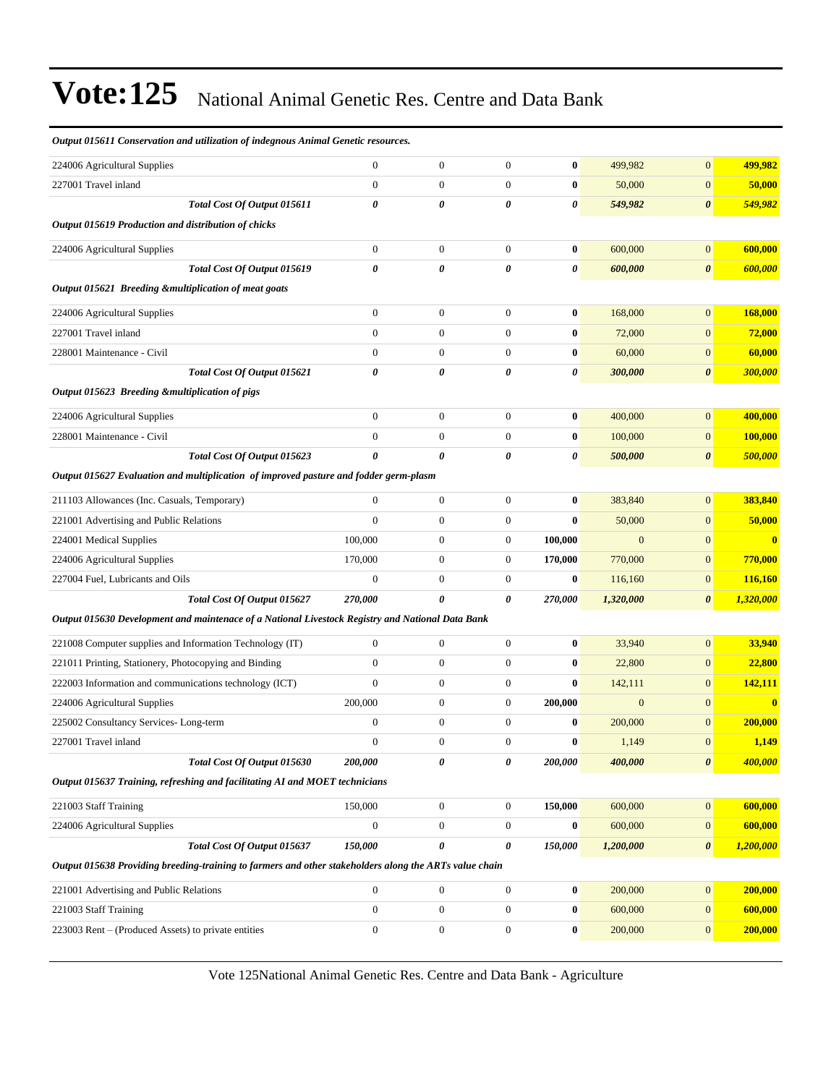| Output 015611 Conservation and utilization of indegnous Animal Genetic resources.                      |                             |                       |                  |                  |                       |              |                       |           |
|--------------------------------------------------------------------------------------------------------|-----------------------------|-----------------------|------------------|------------------|-----------------------|--------------|-----------------------|-----------|
| 224006 Agricultural Supplies                                                                           |                             | $\mathbf{0}$          | $\boldsymbol{0}$ | $\mathbf{0}$     | $\bf{0}$              | 499,982      | $\mathbf{0}$          | 499,982   |
| 227001 Travel inland                                                                                   |                             | $\boldsymbol{0}$      | $\boldsymbol{0}$ | $\boldsymbol{0}$ | $\bf{0}$              | 50,000       | $\mathbf{0}$          | 50,000    |
|                                                                                                        | Total Cost Of Output 015611 | $\boldsymbol{\theta}$ | 0                | 0                | 0                     | 549,982      | $\boldsymbol{\theta}$ | 549,982   |
| Output 015619 Production and distribution of chicks                                                    |                             |                       |                  |                  |                       |              |                       |           |
| 224006 Agricultural Supplies                                                                           |                             | $\mathbf{0}$          | $\boldsymbol{0}$ | $\mathbf{0}$     | $\bf{0}$              | 600,000      | $\mathbf{0}$          | 600,000   |
|                                                                                                        | Total Cost Of Output 015619 | $\boldsymbol{\theta}$ | 0                | 0                | 0                     | 600,000      | $\boldsymbol{\theta}$ | 600,000   |
| Output 015621 Breeding &multiplication of meat goats                                                   |                             |                       |                  |                  |                       |              |                       |           |
| 224006 Agricultural Supplies                                                                           |                             | $\mathbf{0}$          | $\boldsymbol{0}$ | $\mathbf{0}$     | $\boldsymbol{0}$      | 168,000      | $\mathbf{0}$          | 168,000   |
| 227001 Travel inland                                                                                   |                             | $\mathbf{0}$          | $\boldsymbol{0}$ | $\boldsymbol{0}$ | $\bf{0}$              | 72,000       | $\mathbf{0}$          | 72,000    |
| 228001 Maintenance - Civil                                                                             |                             | $\boldsymbol{0}$      | $\boldsymbol{0}$ | $\boldsymbol{0}$ | $\boldsymbol{0}$      | 60,000       | $\boldsymbol{0}$      | 60,000    |
|                                                                                                        | Total Cost Of Output 015621 | $\boldsymbol{\theta}$ | 0                | 0                | $\boldsymbol{\theta}$ | 300,000      | $\pmb{\theta}$        | 300,000   |
| Output 015623 Breeding & multiplication of pigs                                                        |                             |                       |                  |                  |                       |              |                       |           |
| 224006 Agricultural Supplies                                                                           |                             | $\boldsymbol{0}$      | $\boldsymbol{0}$ | $\boldsymbol{0}$ | $\bf{0}$              | 400,000      | $\boldsymbol{0}$      | 400,000   |
| 228001 Maintenance - Civil                                                                             |                             | $\mathbf{0}$          | $\boldsymbol{0}$ | $\boldsymbol{0}$ | $\bf{0}$              | 100,000      | $\mathbf{0}$          | 100,000   |
|                                                                                                        | Total Cost Of Output 015623 | $\theta$              | 0                | 0                | 0                     | 500,000      | $\boldsymbol{\theta}$ | 500,000   |
| Output 015627 Evaluation and multiplication of improved pasture and fodder germ-plasm                  |                             |                       |                  |                  |                       |              |                       |           |
| 211103 Allowances (Inc. Casuals, Temporary)                                                            |                             | $\mathbf{0}$          | $\boldsymbol{0}$ | $\boldsymbol{0}$ | $\bf{0}$              | 383,840      | $\overline{0}$        | 383,840   |
| 221001 Advertising and Public Relations                                                                |                             | $\mathbf{0}$          | $\boldsymbol{0}$ | $\boldsymbol{0}$ | $\bf{0}$              | 50,000       | $\mathbf{0}$          | 50,000    |
| 224001 Medical Supplies                                                                                |                             | 100,000               | $\boldsymbol{0}$ | $\boldsymbol{0}$ | 100,000               | $\mathbf{0}$ | $\mathbf{0}$          | $\bf{0}$  |
| 224006 Agricultural Supplies                                                                           |                             | 170,000               | $\boldsymbol{0}$ | $\mathbf{0}$     | 170,000               | 770,000      | $\mathbf{0}$          | 770,000   |
| 227004 Fuel, Lubricants and Oils                                                                       |                             | $\boldsymbol{0}$      | $\boldsymbol{0}$ | $\mathbf{0}$     | $\bf{0}$              | 116,160      | $\mathbf{0}$          | 116,160   |
|                                                                                                        | Total Cost Of Output 015627 | 270,000               | 0                | 0                | 270,000               | 1,320,000    | $\boldsymbol{\theta}$ | 1,320,000 |
| Output 015630 Development and maintenace of a National Livestock Registry and National Data Bank       |                             |                       |                  |                  |                       |              |                       |           |
| 221008 Computer supplies and Information Technology (IT)                                               |                             | $\mathbf{0}$          | $\boldsymbol{0}$ | $\mathbf{0}$     | $\bf{0}$              | 33,940       | $\boldsymbol{0}$      | 33,940    |
| 221011 Printing, Stationery, Photocopying and Binding                                                  |                             | $\boldsymbol{0}$      | $\boldsymbol{0}$ | $\boldsymbol{0}$ | $\bf{0}$              | 22,800       | $\mathbf{0}$          | 22,800    |
| 222003 Information and communications technology (ICT)                                                 |                             | $\mathbf{0}$          | $\boldsymbol{0}$ | $\boldsymbol{0}$ | $\bf{0}$              | 142,111      | $\mathbf{0}$          | 142,111   |
| 224006 Agricultural Supplies                                                                           |                             | 200,000               | $\boldsymbol{0}$ | $\mathbf{0}$     | 200,000               | $\mathbf{0}$ | $\mathbf{0}$          | $\bf{0}$  |
| 225002 Consultancy Services-Long-term                                                                  |                             | $\boldsymbol{0}$      | $\boldsymbol{0}$ | $\boldsymbol{0}$ | $\boldsymbol{0}$      | 200,000      | $\mathbf{0}$          | 200,000   |
| 227001 Travel inland                                                                                   |                             | $\Omega$              | $\overline{0}$   | $\Omega$         | $\mathbf{0}$          | 1,149        | $\overline{0}$        | 1,149     |
|                                                                                                        | Total Cost Of Output 015630 | 200,000               | 0                | 0                | 200,000               | 400,000      | $\boldsymbol{\theta}$ | 400,000   |
| Output 015637 Training, refreshing and facilitating AI and MOET technicians                            |                             |                       |                  |                  |                       |              |                       |           |
| 221003 Staff Training                                                                                  |                             | 150,000               | $\boldsymbol{0}$ | $\boldsymbol{0}$ | 150,000               | 600,000      | $\mathbf{0}$          | 600,000   |
| 224006 Agricultural Supplies                                                                           |                             | $\boldsymbol{0}$      | $\boldsymbol{0}$ | 0                | $\bf{0}$              | 600,000      | $\mathbf{0}$          | 600,000   |
|                                                                                                        | Total Cost Of Output 015637 | 150,000               | 0                | 0                | 150,000               | 1,200,000    | $\boldsymbol{\theta}$ | 1,200,000 |
| Output 015638 Providing breeding-training to farmers and other stakeholders along the ARTs value chain |                             |                       |                  |                  |                       |              |                       |           |
|                                                                                                        |                             |                       |                  |                  |                       |              |                       |           |
| 221001 Advertising and Public Relations                                                                |                             | $\boldsymbol{0}$      | $\boldsymbol{0}$ | $\boldsymbol{0}$ | $\bf{0}$              | 200,000      | $\mathbf{0}$          | 200,000   |
| 221003 Staff Training                                                                                  |                             | $\boldsymbol{0}$      | $\boldsymbol{0}$ | $\boldsymbol{0}$ | $\bf{0}$              | 600,000      | $\mathbf{0}$          | 600,000   |
| 223003 Rent – (Produced Assets) to private entities                                                    |                             | $\boldsymbol{0}$      | $\boldsymbol{0}$ | $\boldsymbol{0}$ | $\boldsymbol{0}$      | 200,000      | $\mathbf{0}$          | 200,000   |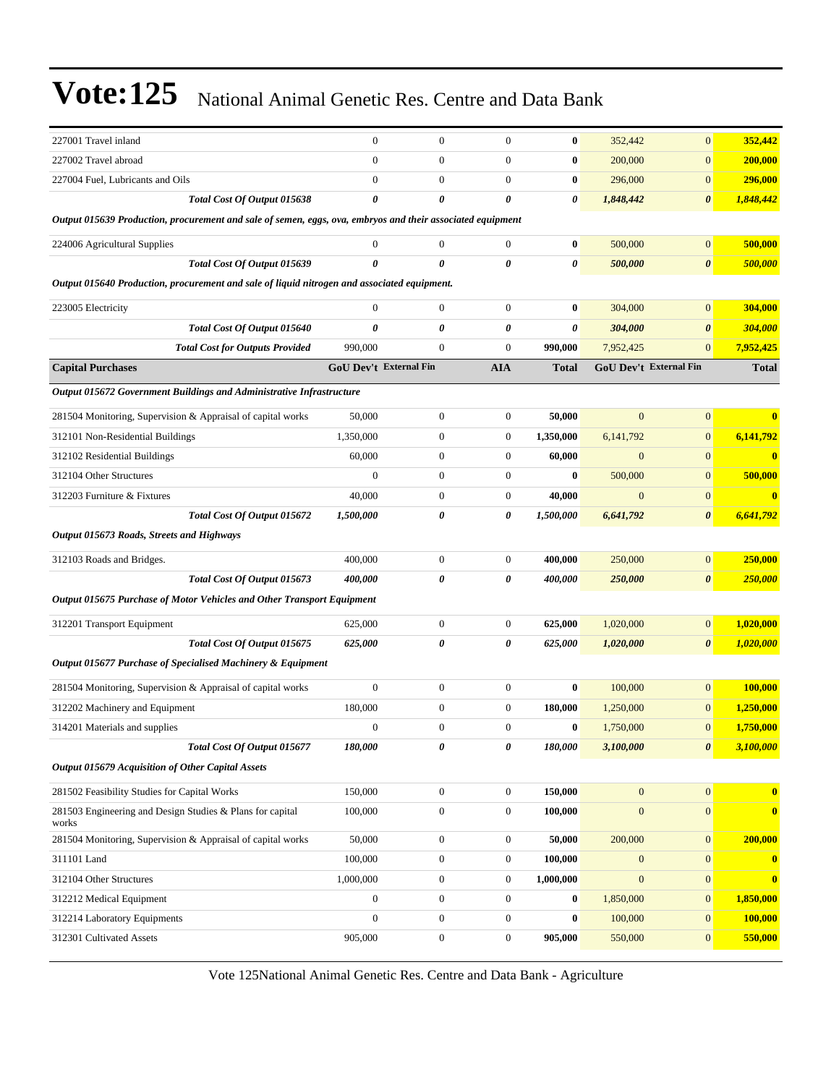| 227001 Travel inland                                                                                       | $\boldsymbol{0}$       | $\boldsymbol{0}$ | $\boldsymbol{0}$ | $\bf{0}$              | 352,442          | $\boldsymbol{0}$       | 352,442      |
|------------------------------------------------------------------------------------------------------------|------------------------|------------------|------------------|-----------------------|------------------|------------------------|--------------|
| 227002 Travel abroad                                                                                       | $\overline{0}$         | $\boldsymbol{0}$ | $\boldsymbol{0}$ | $\bf{0}$              | 200,000          | $\overline{0}$         | 200,000      |
| 227004 Fuel, Lubricants and Oils                                                                           | $\overline{0}$         | $\boldsymbol{0}$ | $\boldsymbol{0}$ | $\bf{0}$              | 296,000          | $\boldsymbol{0}$       | 296,000      |
| <b>Total Cost Of Output 015638</b>                                                                         | $\boldsymbol{\theta}$  | 0                | 0                | 0                     | 1,848,442        | 0                      | 1,848,442    |
| Output 015639 Production, procurement and sale of semen, eggs, ova, embryos and their associated equipment |                        |                  |                  |                       |                  |                        |              |
| 224006 Agricultural Supplies                                                                               | $\boldsymbol{0}$       | $\boldsymbol{0}$ | $\mathbf{0}$     | $\bf{0}$              | 500,000          | $\mathbf{0}$           | 500,000      |
| Total Cost Of Output 015639                                                                                | 0                      | 0                | 0                | 0                     | 500,000          | 0                      | 500,000      |
| Output 015640 Production, procurement and sale of liquid nitrogen and associated equipment.                |                        |                  |                  |                       |                  |                        |              |
| 223005 Electricity                                                                                         | $\boldsymbol{0}$       | $\boldsymbol{0}$ | $\mathbf{0}$     | $\bf{0}$              | 304,000          | $\mathbf{0}$           | 304,000      |
| Total Cost Of Output 015640                                                                                | $\boldsymbol{\theta}$  | 0                | 0                | $\boldsymbol{\theta}$ | 304,000          | 0                      | 304,000      |
| <b>Total Cost for Outputs Provided</b>                                                                     | 990,000                | $\boldsymbol{0}$ | $\boldsymbol{0}$ | 990,000               | 7,952,425        | $\overline{0}$         | 7,952,425    |
| <b>Capital Purchases</b>                                                                                   | GoU Dev't External Fin |                  | <b>AIA</b>       | <b>Total</b>          |                  | GoU Dev't External Fin | <b>Total</b> |
| Output 015672 Government Buildings and Administrative Infrastructure                                       |                        |                  |                  |                       |                  |                        |              |
| 281504 Monitoring, Supervision & Appraisal of capital works                                                | 50,000                 | $\boldsymbol{0}$ | $\boldsymbol{0}$ | 50,000                | $\overline{0}$   | $\boldsymbol{0}$       | $\bf{0}$     |
| 312101 Non-Residential Buildings                                                                           | 1,350,000              | $\boldsymbol{0}$ | $\boldsymbol{0}$ | 1,350,000             | 6,141,792        | $\boldsymbol{0}$       | 6,141,792    |
| 312102 Residential Buildings                                                                               | 60,000                 | $\boldsymbol{0}$ | $\mathbf{0}$     | 60,000                | $\mathbf{0}$     | $\mathbf{0}$           | $\bf{0}$     |
| 312104 Other Structures                                                                                    | $\mathbf{0}$           | $\boldsymbol{0}$ | $\mathbf{0}$     | $\bf{0}$              | 500,000          | $\boldsymbol{0}$       | 500,000      |
| 312203 Furniture & Fixtures                                                                                | 40,000                 | $\boldsymbol{0}$ | $\mathbf{0}$     | 40,000                | $\mathbf{0}$     | $\mathbf{0}$           | $\bf{0}$     |
| Total Cost Of Output 015672                                                                                | 1,500,000              | 0                | 0                | 1,500,000             | 6,641,792        | 0                      | 6,641,792    |
| Output 015673 Roads, Streets and Highways                                                                  |                        |                  |                  |                       |                  |                        |              |
| 312103 Roads and Bridges.                                                                                  | 400,000                | $\boldsymbol{0}$ | $\boldsymbol{0}$ | 400,000               | 250,000          | $\boldsymbol{0}$       | 250,000      |
| Total Cost Of Output 015673                                                                                | 400,000                | 0                | 0                | 400,000               | 250,000          | $\pmb{\theta}$         | 250,000      |
| Output 015675 Purchase of Motor Vehicles and Other Transport Equipment                                     |                        |                  |                  |                       |                  |                        |              |
| 312201 Transport Equipment                                                                                 | 625,000                | $\boldsymbol{0}$ | $\boldsymbol{0}$ | 625,000               | 1,020,000        | $\mathbf{0}$           | 1,020,000    |
| Total Cost Of Output 015675                                                                                | 625,000                | 0                | 0                | 625,000               | 1,020,000        | 0                      | 1,020,000    |
| Output 015677 Purchase of Specialised Machinery & Equipment                                                |                        |                  |                  |                       |                  |                        |              |
| 281504 Monitoring, Supervision & Appraisal of capital works                                                | $\boldsymbol{0}$       | $\boldsymbol{0}$ | $\boldsymbol{0}$ | $\bf{0}$              | 100,000          | $\mathbf{0}$           | 100,000      |
| 312202 Machinery and Equipment                                                                             | 180,000                | $\boldsymbol{0}$ | $\mathbf{0}$     | 180,000               | 1,250,000        | $\mathbf{0}$           | 1,250,000    |
| 314201 Materials and supplies                                                                              | $\boldsymbol{0}$       | $\overline{0}$   | $\mathbf{0}$     | $\bf{0}$              | 1,750,000        | $\overline{0}$         | 1,750,000    |
| Total Cost Of Output 015677                                                                                | 180,000                | 0                | 0                | 180,000               | 3,100,000        | $\boldsymbol{\theta}$  | 3,100,000    |
| Output 015679 Acquisition of Other Capital Assets                                                          |                        |                  |                  |                       |                  |                        |              |
| 281502 Feasibility Studies for Capital Works                                                               | 150,000                | $\boldsymbol{0}$ | $\boldsymbol{0}$ | 150,000               | $\boldsymbol{0}$ | $\mathbf{0}$           | $\bf{0}$     |
| 281503 Engineering and Design Studies & Plans for capital<br>works                                         | 100,000                | $\boldsymbol{0}$ | $\boldsymbol{0}$ | 100,000               | $\boldsymbol{0}$ | $\mathbf{0}$           | $\bf{0}$     |
| 281504 Monitoring, Supervision & Appraisal of capital works                                                | 50,000                 | $\boldsymbol{0}$ | $\boldsymbol{0}$ | 50,000                | 200,000          | $\mathbf{0}$           | 200,000      |
| 311101 Land                                                                                                | 100,000                | $\boldsymbol{0}$ | $\boldsymbol{0}$ | 100,000               | $\boldsymbol{0}$ | $\mathbf{0}$           | $\bf{0}$     |
| 312104 Other Structures                                                                                    | 1,000,000              | $\boldsymbol{0}$ | $\boldsymbol{0}$ | 1,000,000             | $\mathbf{0}$     | $\mathbf{0}$           | $\bf{0}$     |
| 312212 Medical Equipment                                                                                   | $\mathbf{0}$           | $\boldsymbol{0}$ | $\mathbf{0}$     | $\bf{0}$              | 1,850,000        | $\mathbf{0}$           | 1,850,000    |
| 312214 Laboratory Equipments                                                                               | $\boldsymbol{0}$       | $\boldsymbol{0}$ | $\boldsymbol{0}$ | $\bf{0}$              | 100,000          | $\mathbf{0}$           | 100,000      |
| 312301 Cultivated Assets                                                                                   | 905,000                | $\boldsymbol{0}$ | $\boldsymbol{0}$ | 905,000               | 550,000          | $\boldsymbol{0}$       | 550,000      |
|                                                                                                            |                        |                  |                  |                       |                  |                        |              |